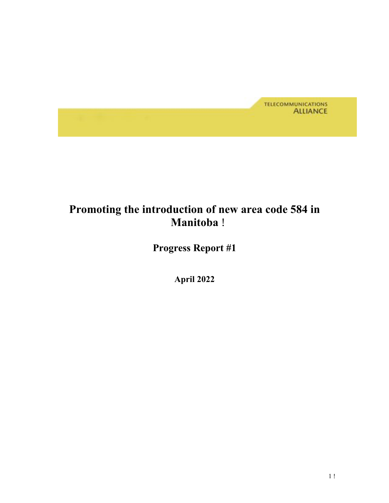

## **Promoting the introduction of new area code 584 in Manitoba** !

 **Progress Report #1** 

 **April 2022**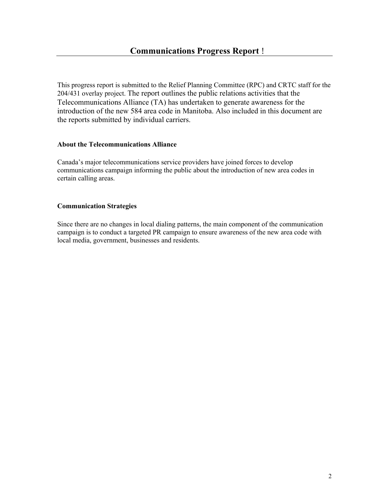This progress report is submitted to the Relief Planning Committee (RPC) and CRTC staff for the Telecommunications Alliance (TA) has undertaken to generate awareness for the introduction of the new 584 area code in Manitoba. Also included in this document are 204/431 overlay project. The report outlines the public relations activities that the the reports submitted by individual carriers.

#### **About the Telecommunications Alliance**

 Canada's major telecommunications service providers have joined forces to develop communications campaign informing the public about the introduction of new area codes in certain calling areas.

### **Communication Strategies**

 Since there are no changes in local dialing patterns, the main component of the communication local media, government, businesses and residents. campaign is to conduct a targeted PR campaign to ensure awareness of the new area code with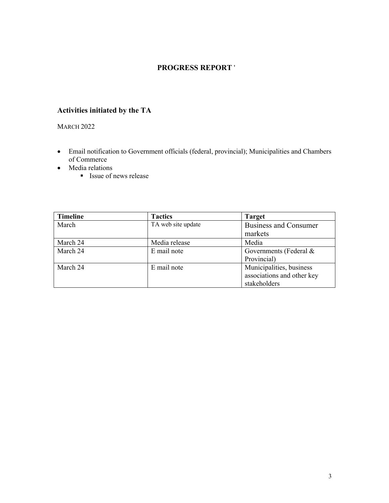## **PROGRESS REPORT** '

## **Activities initiated by the TA**

#### **MARCH 2022**

- • Email notification to Government officials (federal, provincial); Municipalities and Chambers of Commerce
- Media relations
	- Issue of news release

| <b>Timeline</b> | <b>Tactics</b>     | <b>Target</b>                |
|-----------------|--------------------|------------------------------|
| March           | TA web site update | <b>Business and Consumer</b> |
|                 |                    | markets                      |
| March 24        | Media release      | Media                        |
| March 24        | E mail note        | Governments (Federal &       |
|                 |                    | Provincial)                  |
| March 24        | E mail note        | Municipalities, business     |
|                 |                    | associations and other key   |
|                 |                    | stakeholders                 |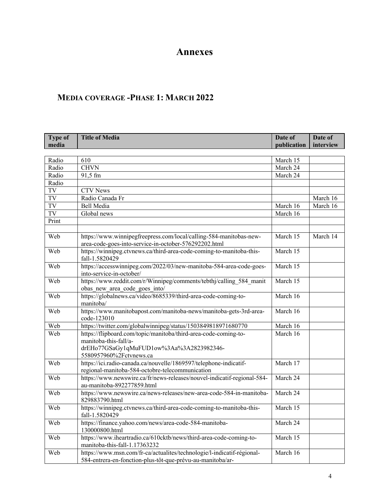## **Annexes**

## **MEDIA COVERAGE -PHASE 1: MARCH 2022**

| <b>Type of</b> | <b>Title of Media</b>                                                                                                                                           | Date of     | Date of   |
|----------------|-----------------------------------------------------------------------------------------------------------------------------------------------------------------|-------------|-----------|
| media          |                                                                                                                                                                 | publication | interview |
|                |                                                                                                                                                                 |             |           |
| Radio          | 610                                                                                                                                                             | March 15    |           |
| Radio          | <b>CHVN</b>                                                                                                                                                     | March 24    |           |
| Radio          | 91,5 fm                                                                                                                                                         | March 24    |           |
| Radio          |                                                                                                                                                                 |             |           |
| TV             | <b>CTV</b> News                                                                                                                                                 |             |           |
| TV             | Radio Canada Fr                                                                                                                                                 |             | March 16  |
| TV             | Bell Media                                                                                                                                                      | March 16    | March 16  |
| TV             | Global news                                                                                                                                                     | March 16    |           |
| Print          |                                                                                                                                                                 |             |           |
| Web            | https://www.winnipegfreepress.com/local/calling-584-manitobas-new-<br>area-code-goes-into-service-in-october-576292202.html                                     | March 15    | March 14  |
| Web            | https://winnipeg.ctvnews.ca/third-area-code-coming-to-manitoba-this-<br>fall-1.5820429                                                                          | March 15    |           |
| Web            | https://accesswinnipeg.com/2022/03/new-manitoba-584-area-code-goes-<br>into-service-in-october/                                                                 | March 15    |           |
| Web            | https://www.reddit.com/r/Winnipeg/comments/tebthj/calling 584 manit<br>obas new area code goes into/                                                            | March 15    |           |
| Web            | https://globalnews.ca/video/8685339/third-area-code-coming-to-<br>manitoba/                                                                                     | March 16    |           |
| Web            | https://www.manitobapost.com/manitoba-news/manitoba-gets-3rd-area-<br>code-123010                                                                               | March 16    |           |
| Web            | https://twitter.com/globalwinnipeg/status/1503849818971680770                                                                                                   | March 16    |           |
| Web            | https://flipboard.com/topic/manitoba/third-area-code-coming-to-<br>manitoba-this-fall/a-<br>drEHo77GSaGy1qMuFUD1ow%3Aa%3A2823982346-<br>5580957960%2Fctvnews.ca | March 16    |           |
| Web            | https://ici.radio-canada.ca/nouvelle/1869597/telephone-indicatif-<br>regional-manitoba-584-octobre-telecommunication                                            | March 17    |           |
| Web            | https://www.newswire.ca/fr/news-releases/nouvel-indicatif-regional-584-<br>au-manitoba-892277859.html                                                           | March 24    |           |
| Web            | https://www.newswire.ca/news-releases/new-area-code-584-in-manitoba-<br>829883790.html                                                                          | March 24    |           |
| Web            | https://winnipeg.ctvnews.ca/third-area-code-coming-to-manitoba-this-<br>fall-1.5820429                                                                          | March 15    |           |
| Web            | https://finance.yahoo.com/news/area-code-584-manitoba-<br>130000800.html                                                                                        | March 24    |           |
| Web            | https://www.iheartradio.ca/610cktb/news/third-area-code-coming-to-<br>manitoba-this-fall-1.17363232                                                             | March 15    |           |
| Web            | https://www.msn.com/fr-ca/actualites/technologie/l-indicatif-régional-<br>584-entrera-en-fonction-plus-tôt-que-prévu-au-manitoba/ar-                            | March 16    |           |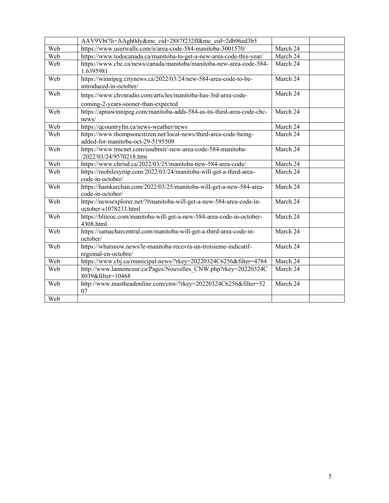|     | AAV9Vbt?li=AAgh0dy&mc cid=2887f232ff&mc eid=2db96ed3b5                                                 |          |  |
|-----|--------------------------------------------------------------------------------------------------------|----------|--|
| Web | https://www.userwalls.com/n/area-code-584-manitoba-3001570/                                            | March 24 |  |
| Web | https://www.todocanada.ca/manitoba-to-get-a-new-area-code-this-year/                                   | March 24 |  |
| Web | https://www.cbc.ca/news/canada/manitoba/manitoba-new-area-code-584-<br>1.6395981                       | March 24 |  |
| Web | https://winnipeg.citynews.ca/2022/03/24/new-584-area-code-to-be-<br>introduced-in-october/             | March 24 |  |
| Web | https://www.chvnradio.com/articles/manitoba-has-3rd-area-code-<br>coming-2-years-sooner-than-expected  | March 24 |  |
| Web | https://apnawinnipeg.com/manitoba-adds-584-as-its-third-area-code-cbc-<br>news/                        | March 24 |  |
| Web | https://qcountryfm.ca/news-weather/news                                                                | March 24 |  |
| Web | https://www.thompsoncitizen.net/local-news/third-area-code-being-<br>added-for-manitoba-oct-29-5195509 | March 24 |  |
| Web | https://www.tmcnet.com/usubmit/-new-area-code-584-manitoba-<br>/2022/03/24/9570218.htm                 | March 24 |  |
| Web | https://www.chrisd.ca/2022/03/25/manitoba-new-584-area-code/                                           | March 24 |  |
| Web | https://mobilesyrup.com/2022/03/24/manitoba-will-get-a-third-area-<br>code-in-october/                 | March 24 |  |
| Web | https://hamkarchan.com/2022/03/25/manitoba-will-get-a-new-584-area-<br>code-in-october/                | March 24 |  |
| Web | https://newsexplorer.net/?#manitoba-will-get-a-new-584-area-code-in-<br>october-s1078233.html          | March 24 |  |
| Web | https://bliteoc.com/manitoba-will-get-a-new-584-area-code-in-october-<br>4308.html                     | March 24 |  |
| Web | https://samacharcentral.com/manitoba-will-get-a-third-area-code-in-<br>october/                        | March 24 |  |
| Web | https://whatsnow.news/le-manitoba-recevra-un-troisieme-indicatif-<br>regional-en-octobre/              | March 24 |  |
| Web | https://www.cbj.ca/municipal-news/?rkey=20220324C6256&filter=4784                                      | March 24 |  |
| Web | http://www.lannonceur.ca/Pages/Nouvelles CNW.php?rkey=20220324C<br>8039&filter=10468                   | March 24 |  |
| Web | http://www.mastheadonline.com/cnw/?rkey=20220324C6256&filter=52<br>07                                  | March 24 |  |
| Web |                                                                                                        |          |  |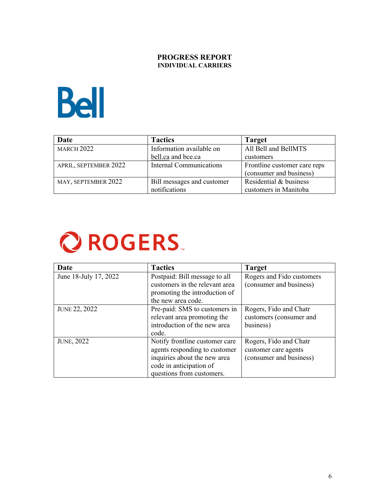### **PROGRESS REPORT INDIVIDUAL CARRIERS**



| Date                  | <b>Tactics</b>                 | <b>Target</b>                |
|-----------------------|--------------------------------|------------------------------|
| <b>MARCH 2022</b>     | Information available on       | All Bell and BellMTS         |
|                       | bell.ca and bce.ca             | customers                    |
| APRIL, SEPTEMBER 2022 | <b>Internal Communications</b> | Frontline customer care reps |
|                       |                                | (consumer and business)      |
| MAY, SEPTEMBER 2022   | Bill messages and customer     | Residential & business       |
|                       | notifications                  | customers in Manitoba        |

## **Q ROGERS**

| Date                  | <b>Tactics</b>                 | <b>Target</b>             |
|-----------------------|--------------------------------|---------------------------|
| June 18-July 17, 2022 | Postpaid: Bill message to all  | Rogers and Fido customers |
|                       | customers in the relevant area | (consumer and business)   |
|                       | promoting the introduction of  |                           |
|                       | the new area code.             |                           |
| <b>JUNE 22, 2022</b>  | Pre-paid: SMS to customers in  | Rogers, Fido and Chatr    |
|                       | relevant area promoting the    | customers (consumer and   |
|                       | introduction of the new area   | business)                 |
|                       | code.                          |                           |
| <b>JUNE, 2022</b>     | Notify frontline customer care | Rogers, Fido and Chatr    |
|                       | agents responding to customer  | customer care agents      |
|                       | inquiries about the new area   | (consumer and business)   |
|                       | code in anticipation of        |                           |
|                       | questions from customers.      |                           |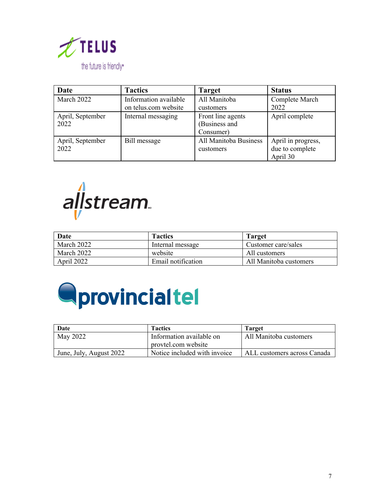

| Date             | <b>Tactics</b>        | <b>Target</b>         | <b>Status</b>      |
|------------------|-----------------------|-----------------------|--------------------|
| March 2022       | Information available | All Manitoba          | Complete March     |
|                  | on telus.com website  | customers             | 2022               |
| April, September | Internal messaging    | Front line agents     | April complete     |
| 2022             |                       | (Business and         |                    |
|                  |                       | Consumer)             |                    |
| April, September | Bill message          | All Manitoba Business | April in progress, |
| 2022             |                       | customers             | due to complete    |
|                  |                       |                       | April 30           |



| Date       | <b>Tactics</b>     | Target                 |
|------------|--------------------|------------------------|
| March 2022 | Internal message   | Customer care/sales    |
| March 2022 | website            | All customers          |
| April 2022 | Email notification | All Manitoba customers |



| Date                    | <b>Tactics</b>                                  | <b>Target</b>               |
|-------------------------|-------------------------------------------------|-----------------------------|
| May 2022                | Information available on<br>provtel.com website | All Manitoba customers      |
| June, July, August 2022 | Notice included with invoice                    | ALL customers across Canada |